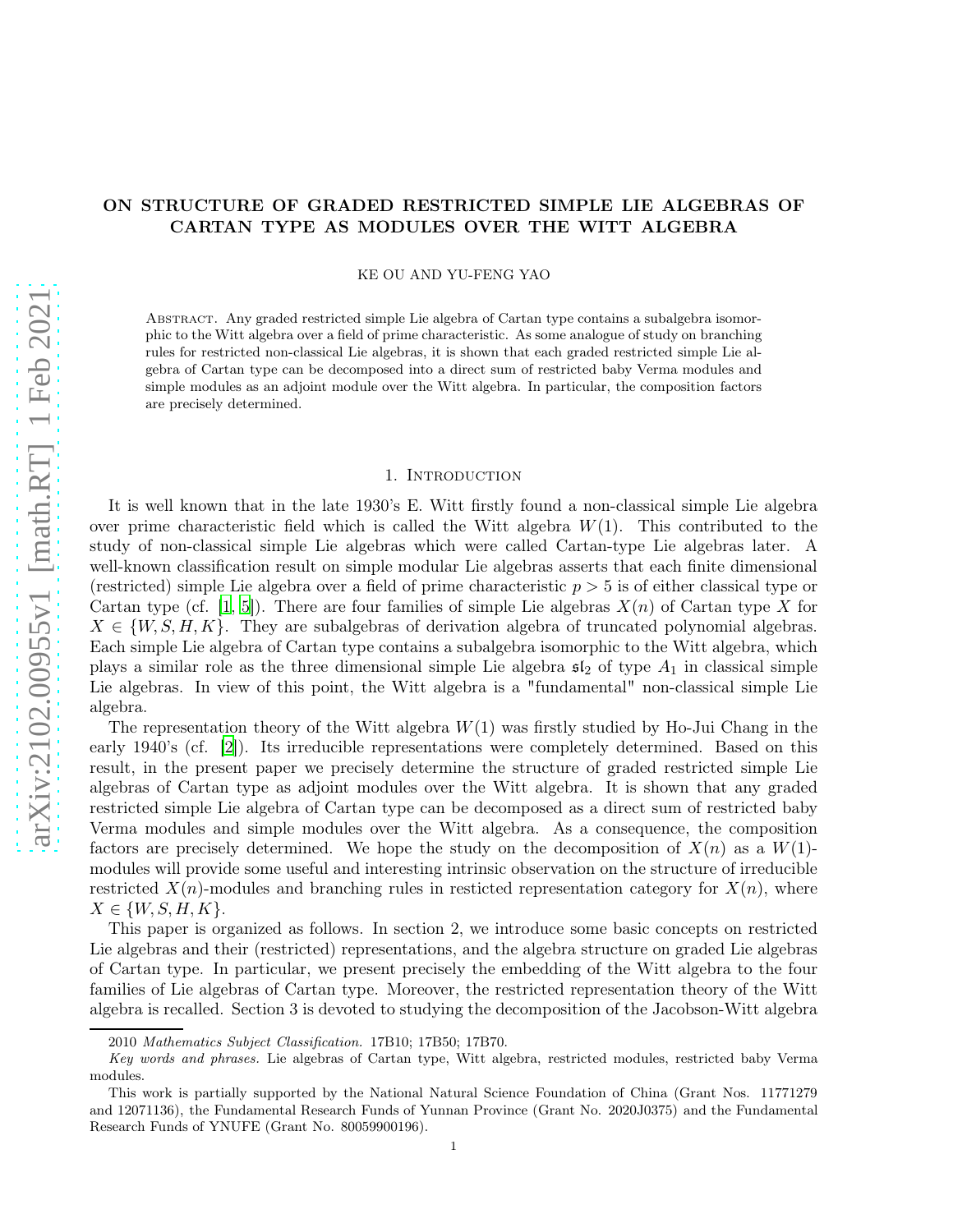# ON STRUCTURE OF GRADED RESTRICTED SIMPLE LIE ALGEBRAS OF CARTAN TYPE AS MODULES OVER THE WITT ALGEBRA

KE OU AND YU-FENG YAO

Abstract. Any graded restricted simple Lie algebra of Cartan type contains a subalgebra isomorphic to the Witt algebra over a field of prime characteristic. As some analogue of study on branching rules for restricted non-classical Lie algebras, it is shown that each graded restricted simple Lie algebra of Cartan type can be decomposed into a direct sum of restricted baby Verma modules and simple modules as an adjoint module over the Witt algebra. In particular, the composition factors are precisely determined.

#### 1. INTRODUCTION

It is well known that in the late 1930's E. Witt firstly found a non-classical simple Lie algebra over prime characteristic field which is called the Witt algebra  $W(1)$ . This contributed to the study of non-classical simple Lie algebras which were called Cartan-type Lie algebras later. A well-known classification result on simple modular Lie algebras asserts that each finite dimensional (restricted) simple Lie algebra over a field of prime characteristic  $p > 5$  is of either classical type or Cartan type (cf. [\[1](#page-11-0), [5\]](#page-11-1)). There are four families of simple Lie algebras  $X(n)$  of Cartan type X for  $X \in \{W, S, H, K\}$ . They are subalgebras of derivation algebra of truncated polynomial algebras. Each simple Lie algebra of Cartan type contains a subalgebra isomorphic to the Witt algebra, which plays a similar role as the three dimensional simple Lie algebra  $\mathfrak{sl}_2$  of type  $A_1$  in classical simple Lie algebras. In view of this point, the Witt algebra is a "fundamental" non-classical simple Lie algebra.

The representation theory of the Witt algebra  $W(1)$  was firstly studied by Ho-Jui Chang in the early 1940's (cf. [\[2\]](#page-11-2)). Its irreducible representations were completely determined. Based on this result, in the present paper we precisely determine the structure of graded restricted simple Lie algebras of Cartan type as adjoint modules over the Witt algebra. It is shown that any graded restricted simple Lie algebra of Cartan type can be decomposed as a direct sum of restricted baby Verma modules and simple modules over the Witt algebra. As a consequence, the composition factors are precisely determined. We hope the study on the decomposition of  $X(n)$  as a  $W(1)$ modules will provide some useful and interesting intrinsic observation on the structure of irreducible restricted  $X(n)$ -modules and branching rules in resticted representation category for  $X(n)$ , where  $X \in \{W, S, H, K\}.$ 

This paper is organized as follows. In section 2, we introduce some basic concepts on restricted Lie algebras and their (restricted) representations, and the algebra structure on graded Lie algebras of Cartan type. In particular, we present precisely the embedding of the Witt algebra to the four families of Lie algebras of Cartan type. Moreover, the restricted representation theory of the Witt algebra is recalled. Section 3 is devoted to studying the decomposition of the Jacobson-Witt algebra

<sup>2010</sup> Mathematics Subject Classification. 17B10; 17B50; 17B70.

Key words and phrases. Lie algebras of Cartan type, Witt algebra, restricted modules, restricted baby Verma modules.

This work is partially supported by the National Natural Science Foundation of China (Grant Nos. 11771279 and 12071136), the Fundamental Research Funds of Yunnan Province (Grant No. 2020J0375) and the Fundamental Research Funds of YNUFE (Grant No. 80059900196).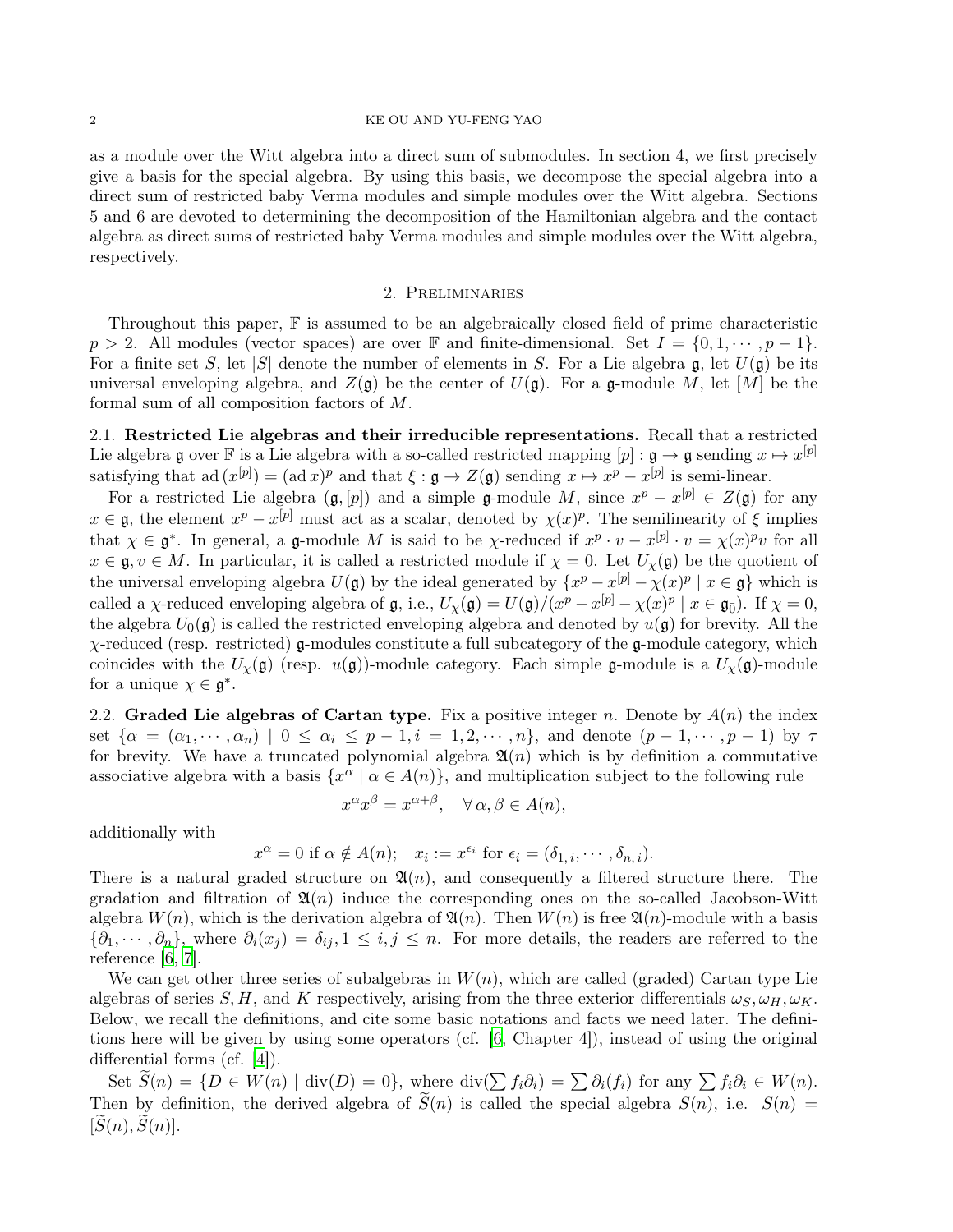## 2 KE OU AND YU-FENG YAO

as a module over the Witt algebra into a direct sum of submodules. In section 4, we first precisely give a basis for the special algebra. By using this basis, we decompose the special algebra into a direct sum of restricted baby Verma modules and simple modules over the Witt algebra. Sections 5 and 6 are devoted to determining the decomposition of the Hamiltonian algebra and the contact algebra as direct sums of restricted baby Verma modules and simple modules over the Witt algebra, respectively.

# 2. Preliminaries

Throughout this paper, F is assumed to be an algebraically closed field of prime characteristic  $p > 2$ . All modules (vector spaces) are over F and finite-dimensional. Set  $I = \{0, 1, \dots, p-1\}$ . For a finite set S, let  $|S|$  denote the number of elements in S. For a Lie algebra g, let  $U(\mathfrak{g})$  be its universal enveloping algebra, and  $Z(\mathfrak{g})$  be the center of  $U(\mathfrak{g})$ . For a g-module M, let [M] be the formal sum of all composition factors of M.

2.1. Restricted Lie algebras and their irreducible representations. Recall that a restricted Lie algebra g over F is a Lie algebra with a so-called restricted mapping  $[p]: \mathfrak{g} \to \mathfrak{g}$  sending  $x \mapsto x^{[p]}$ satisfying that ad  $(x^{[p]}) = (ad x)^p$  and that  $\xi : \mathfrak{g} \to Z(\mathfrak{g})$  sending  $x \mapsto x^p - x^{[p]}$  is semi-linear.

For a restricted Lie algebra  $(\mathfrak{g}, [p])$  and a simple  $\mathfrak{g}\text{-module } M$ , since  $x^p - x^{[p]} \in Z(\mathfrak{g})$  for any  $x \in \mathfrak{g}$ , the element  $x^p - x^{[p]}$  must act as a scalar, denoted by  $\chi(x)^p$ . The semilinearity of  $\xi$  implies that  $\chi \in \mathfrak{g}^*$ . In general, a g-module M is said to be  $\chi$ -reduced if  $x^p \cdot v - x^{[p]} \cdot v = \chi(x)^p v$  for all  $x \in \mathfrak{g}, v \in M$ . In particular, it is called a restricted module if  $\chi = 0$ . Let  $U_{\chi}(\mathfrak{g})$  be the quotient of the universal enveloping algebra  $U(\mathfrak{g})$  by the ideal generated by  $\{x^p - x^{[p]} - \chi(x)^p \mid x \in \mathfrak{g}\}\$  which is called a  $\chi$ -reduced enveloping algebra of  $\mathfrak{g}$ , i.e.,  $U_{\chi}(\mathfrak{g}) = U(\mathfrak{g})/(x^p - x^{[p]} - \chi(x)^p \mid x \in \mathfrak{g}_{\bar{0}})$ . If  $\chi = 0$ , the algebra  $U_0(\mathfrak{g})$  is called the restricted enveloping algebra and denoted by  $u(\mathfrak{g})$  for brevity. All the  $\chi$ -reduced (resp. restricted) g-modules constitute a full subcategory of the g-module category, which coincides with the  $U_{\chi}(\mathfrak{g})$  (resp.  $u(\mathfrak{g})$ )-module category. Each simple g-module is a  $U_{\chi}(\mathfrak{g})$ -module for a unique  $\chi \in \mathfrak{g}^*$ .

2.2. Graded Lie algebras of Cartan type. Fix a positive integer n. Denote by  $A(n)$  the index set  $\{\alpha = (\alpha_1, \dots, \alpha_n) \mid 0 \leq \alpha_i \leq p-1, i = 1, 2, \dots, n\}$ , and denote  $(p-1, \dots, p-1)$  by  $\tau$ for brevity. We have a truncated polynomial algebra  $\mathfrak{A}(n)$  which is by definition a commutative associative algebra with a basis  $\{x^{\alpha} \mid \alpha \in A(n)\}$ , and multiplication subject to the following rule

$$
x^{\alpha}x^{\beta} = x^{\alpha+\beta}, \quad \forall \alpha, \beta \in A(n),
$$

additionally with

$$
x^{\alpha} = 0
$$
 if  $\alpha \notin A(n)$ ;  $x_i := x^{\epsilon_i}$  for  $\epsilon_i = (\delta_{1,i}, \cdots, \delta_{n,i}).$ 

There is a natural graded structure on  $\mathfrak{A}(n)$ , and consequently a filtered structure there. The gradation and filtration of  $\mathfrak{A}(n)$  induce the corresponding ones on the so-called Jacobson-Witt algebra  $W(n)$ , which is the derivation algebra of  $\mathfrak{A}(n)$ . Then  $W(n)$  is free  $\mathfrak{A}(n)$ -module with a basis  ${\{\partial_1,\dots,\partial_n\}}$ , where  $\partial_i(x_i) = \delta_{ij}, 1 \leq i, j \leq n$ . For more details, the readers are referred to the reference [\[6](#page-11-3), [7\]](#page-12-0).

We can get other three series of subalgebras in  $W(n)$ , which are called (graded) Cartan type Lie algebras of series S, H, and K respectively, arising from the three exterior differentials  $\omega_s$ ,  $\omega_H$ ,  $\omega_K$ . Below, we recall the definitions, and cite some basic notations and facts we need later. The definitions here will be given by using some operators (cf. [\[6,](#page-11-3) Chapter 4]), instead of using the original differential forms (cf. [\[4](#page-11-4)]).

Set  $\widetilde{S}(n) = \{D \in W(n) \mid \text{div}(D) = 0\}$ , where  $\text{div}(\sum f_i \partial_i) = \sum \partial_i(f_i)$  for any  $\sum f_i \partial_i \in W(n)$ . Then by definition, the derived algebra of  $\tilde{S}(n)$  is called the special algebra  $S(n)$ , i.e.  $S(n)$  $[\widetilde{S}(n), \widetilde{S}(n)].$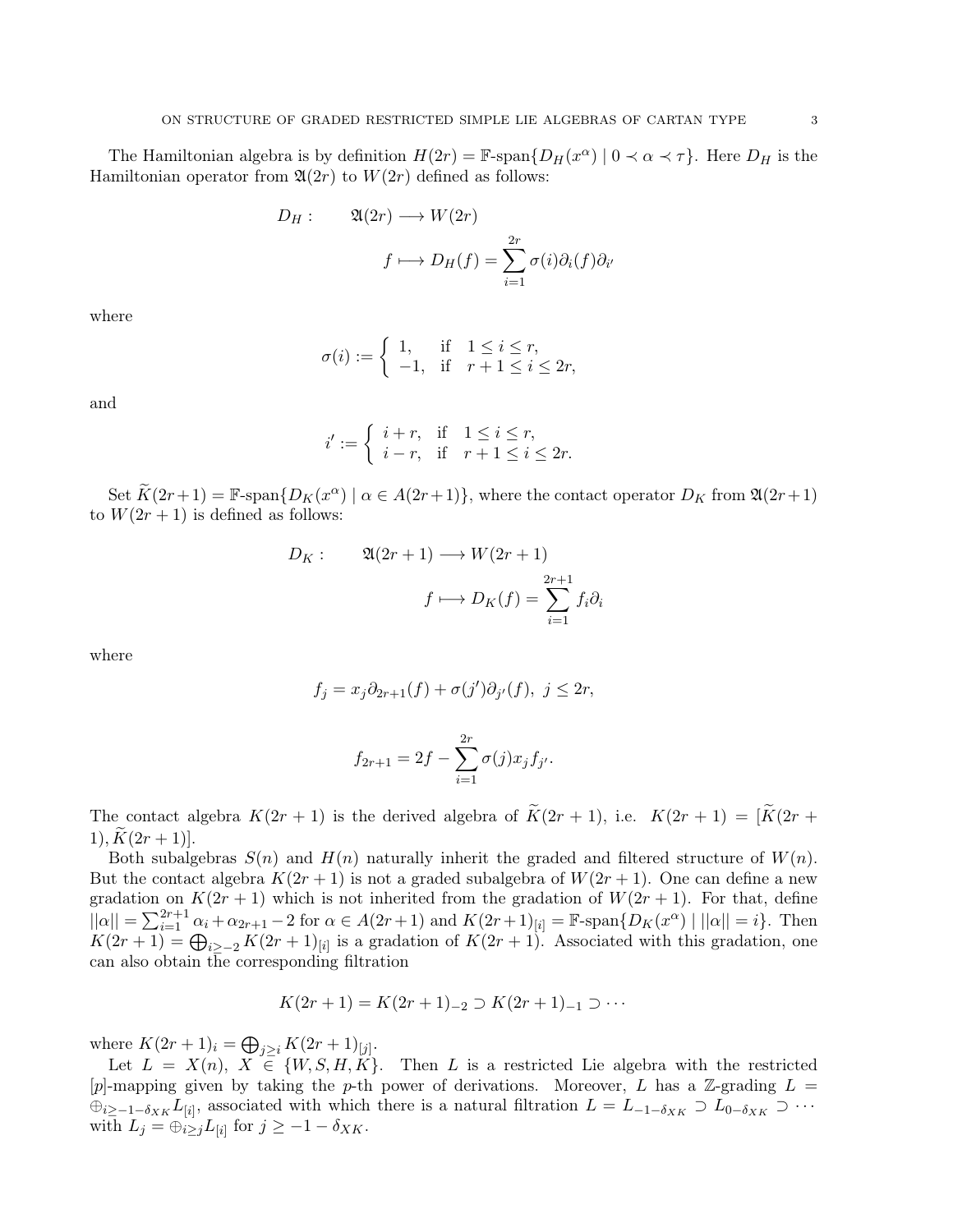The Hamiltonian algebra is by definition  $H(2r) = \mathbb{F}\text{-span}\{D_H(x^{\alpha}) \mid 0 \prec \alpha \prec \tau\}$ . Here  $D_H$  is the Hamiltonian operator from  $\mathfrak{A}(2r)$  to  $W(2r)$  defined as follows:

$$
D_H: \qquad \mathfrak{A}(2r) \longrightarrow W(2r)
$$

$$
f \longmapsto D_H(f) = \sum_{i=1}^{2r} \sigma(i)\partial_i(f)\partial_i
$$

′

where

$$
\sigma(i) := \begin{cases} 1, & \text{if } 1 \le i \le r, \\ -1, & \text{if } r+1 \le i \le 2r, \end{cases}
$$

and

$$
i' := \begin{cases} i+r, & \text{if } 1 \le i \le r, \\ i-r, & \text{if } r+1 \le i \le 2r. \end{cases}
$$

Set  $\widetilde{K}(2r+1) = \mathbb{F}\text{-span}\{D_K(x^{\alpha}) \mid \alpha \in A(2r+1)\}\$ , where the contact operator  $D_K$  from  $\mathfrak{A}(2r+1)$ to  $W(2r + 1)$  is defined as follows:

$$
D_K: \qquad \mathfrak{A}(2r+1) \longrightarrow W(2r+1)
$$

$$
f \longmapsto D_K(f) = \sum_{i=1}^{2r+1} f_i \partial_i
$$

where

$$
f_j = x_j \partial_{2r+1}(f) + \sigma(j') \partial_{j'}(f), \ j \le 2r,
$$

$$
f_{2r+1} = 2f - \sum_{i=1}^{2r} \sigma(j)x_j f_{j'}.
$$

The contact algebra  $K(2r + 1)$  is the derived algebra of  $\widetilde{K}(2r + 1)$ , i.e.  $K(2r + 1) = [\widetilde{K}(2r +$ 1),  $K(2r + 1)$ .

Both subalgebras  $S(n)$  and  $H(n)$  naturally inherit the graded and filtered structure of  $W(n)$ . But the contact algebra  $K(2r+1)$  is not a graded subalgebra of  $W(2r+1)$ . One can define a new gradation on  $K(2r + 1)$  which is not inherited from the gradation of  $W(2r + 1)$ . For that, define  $||\alpha|| = \sum_{i=1}^{2r+1} \alpha_i + \alpha_{2r+1} - 2$  for  $\alpha \in A(2r+1)$  and  $K(2r+1)_{[i]} = \mathbb{F}\text{-span}\{D_K(x^{\alpha}) \mid ||\alpha|| = i\}.$  Then  $K(2r+1) = \bigoplus_{i \geq -2} K(2r+1)_{[i]}$  is a gradation of  $K(2r+1)$ . Associated with this gradation, one can also obtain the corresponding filtration

$$
K(2r+1) = K(2r+1)_{-2} \supset K(2r+1)_{-1} \supset \cdots
$$

where  $K(2r+1)_i = \bigoplus_{j \geq i} K(2r+1)_{[j]}.$ 

Let  $L = X(n), X \in \{W, S, H, K\}$ . Then L is a restricted Lie algebra with the restricted [p]-mapping given by taking the p-th power of derivations. Moreover, L has a Z-grading  $L =$  $\oplus_{i\geq -1-\delta_{XK}} L_{[i]},$  associated with which there is a natural filtration  $L = L_{-1-\delta_{XK}} \supset L_{0-\delta_{XK}} \supset \cdots$ with  $L_j = \bigoplus_{i \geq j} L_{[i]}$  for  $j \geq -1 - \delta_{XK}$ .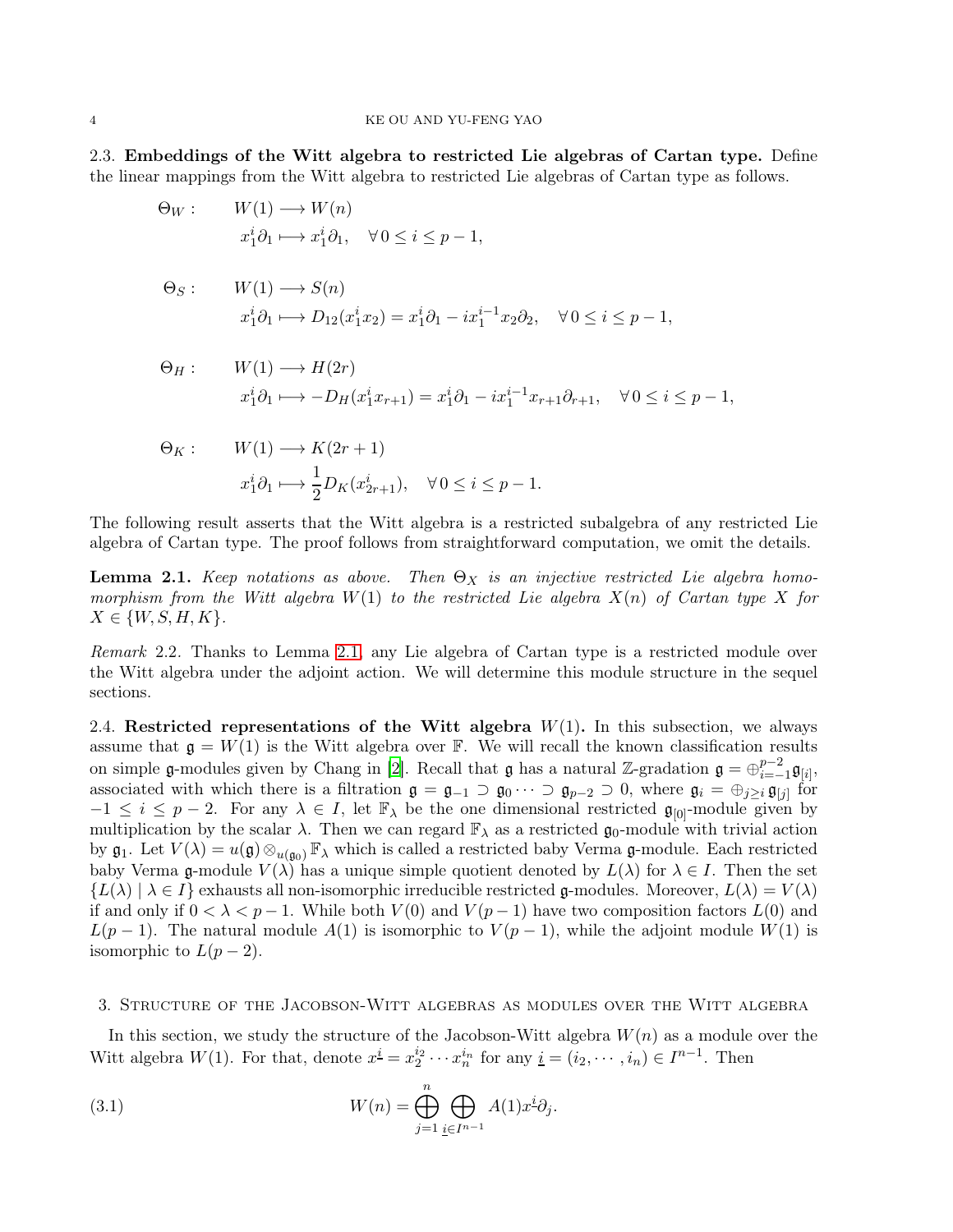2.3. Embeddings of the Witt algebra to restricted Lie algebras of Cartan type. Define the linear mappings from the Witt algebra to restricted Lie algebras of Cartan type as follows.

$$
\Theta_W: \qquad W(1) \longrightarrow W(n)
$$
  
\n
$$
x_1^i \partial_1 \longmapsto x_1^i \partial_1, \quad \forall 0 \le i \le p-1,
$$
  
\n
$$
\Theta_S: \qquad W(1) \longrightarrow S(n)
$$
  
\n
$$
x_1^i \partial_1 \longmapsto D_{12}(x_1^i x_2) = x_1^i \partial_1 - i x_1^{i-1} x_2 \partial_2, \quad \forall 0 \le i \le p-1,
$$

$$
\Theta_H: \qquad W(1) \longrightarrow H(2r)
$$
  

$$
x_1^i \partial_1 \longmapsto -D_H(x_1^i x_{r+1}) = x_1^i \partial_1 - i x_1^{i-1} x_{r+1} \partial_{r+1}, \quad \forall \, 0 \le i \le p-1,
$$

$$
\Theta_K: \qquad W(1) \longrightarrow K(2r+1)
$$
  

$$
x_1^i \partial_1 \longmapsto \frac{1}{2} D_K(x_{2r+1}^i), \quad \forall \, 0 \le i \le p-1.
$$

The following result asserts that the Witt algebra is a restricted subalgebra of any restricted Lie algebra of Cartan type. The proof follows from straightforward computation, we omit the details.

<span id="page-3-0"></span>**Lemma 2.1.** *Keep notations as above.* Then  $\Theta_X$  *is an injective restricted Lie algebra homomorphism from the Witt algebra* W(1) *to the restricted Lie algebra* X(n) *of Cartan type* X *for*  $X \in \{W, S, H, K\}.$ 

*Remark* 2.2*.* Thanks to Lemma [2.1,](#page-3-0) any Lie algebra of Cartan type is a restricted module over the Witt algebra under the adjoint action. We will determine this module structure in the sequel sections.

<span id="page-3-2"></span>2.4. Restricted representations of the Witt algebra  $W(1)$ . In this subsection, we always assume that  $\mathfrak{g} = W(1)$  is the Witt algebra over F. We will recall the known classification results on simple g-modules given by Chang in [\[2](#page-11-2)]. Recall that g has a natural Z-gradation  $\mathfrak{g} = \bigoplus_{i=-}^{p-2}$  $_{i=-1}^{p-2}\mathfrak{g}_{[i]},$ associated with which there is a filtration  $\mathfrak{g} = \mathfrak{g}_{-1} \supset \mathfrak{g}_0 \cdots \supset \mathfrak{g}_{p-2} \supset 0$ , where  $\mathfrak{g}_i = \bigoplus_{j\geq i} \mathfrak{g}_{[j]}$  for  $-1 \leq i \leq p-2$ . For any  $\lambda \in I$ , let  $\mathbb{F}_{\lambda}$  be the one dimensional restricted  $\mathfrak{g}_{[0]}$ -module given by multiplication by the scalar  $\lambda$ . Then we can regard  $\mathbb{F}_{\lambda}$  as a restricted  $\mathfrak{g}_0$ -module with trivial action by  $\mathfrak{g}_1$ . Let  $V(\lambda) = u(\mathfrak{g}) \otimes_{u(\mathfrak{g}_0)} \mathbb{F}_{\lambda}$  which is called a restricted baby Verma  $\mathfrak{g}$ -module. Each restricted baby Verma g-module  $V(\lambda)$  has a unique simple quotient denoted by  $L(\lambda)$  for  $\lambda \in I$ . Then the set  ${L(\lambda) \mid \lambda \in I}$  exhausts all non-isomorphic irreducible restricted g-modules. Moreover,  $L(\lambda) = V(\lambda)$ if and only if  $0 < \lambda < p-1$ . While both  $V(0)$  and  $V(p-1)$  have two composition factors  $L(0)$  and  $L(p-1)$ . The natural module  $A(1)$  is isomorphic to  $V(p-1)$ , while the adjoint module  $W(1)$  is isomorphic to  $L(p-2)$ .

### 3. Structure of the Jacobson-Witt algebras as modules over the Witt algebra

In this section, we study the structure of the Jacobson-Witt algebra  $W(n)$  as a module over the Witt algebra  $W(1)$ . For that, denote  $x^{\underline{i}} = x_2^{i_2} \cdots x_n^{i_n}$  for any  $\underline{i} = (i_2, \dots, i_n) \in I^{n-1}$ . Then

<span id="page-3-1"></span>(3.1) 
$$
W(n) = \bigoplus_{j=1}^{n} \bigoplus_{\underline{i} \in I^{n-1}} A(1) x^{\underline{i}} \partial_j.
$$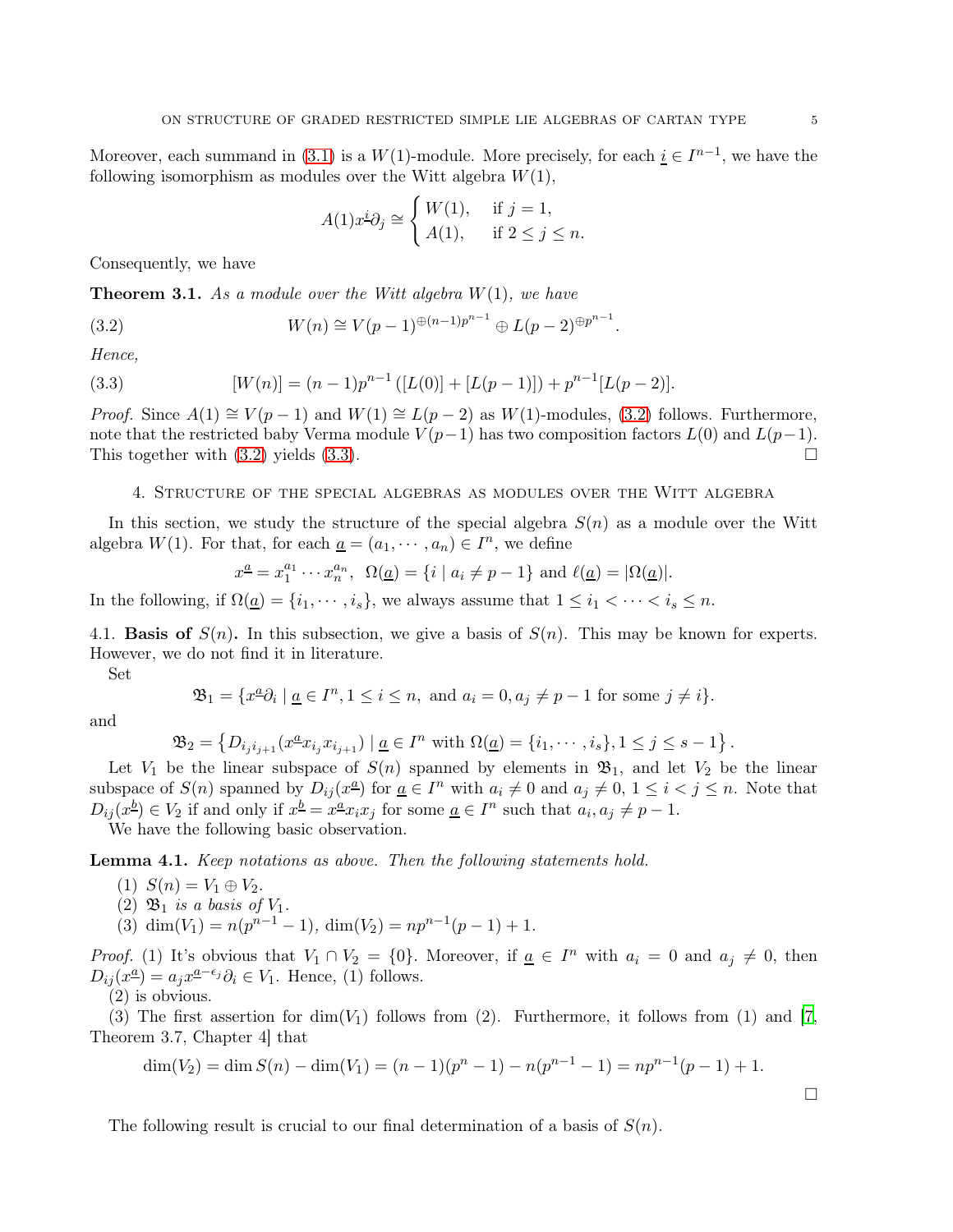Moreover, each summand in [\(3.1\)](#page-3-1) is a  $W(1)$ -module. More precisely, for each  $i \in I^{n-1}$ , we have the following isomorphism as modules over the Witt algebra  $W(1)$ ,

<span id="page-4-0"></span>
$$
A(1)x^{\underline{i}}\partial_j \cong \begin{cases} W(1), & \text{if } j = 1, \\ A(1), & \text{if } 2 \le j \le n. \end{cases}
$$

Consequently, we have

Theorem 3.1. *As a module over the Witt algebra* W(1)*, we have*

(3.2) 
$$
W(n) \cong V(p-1)^{\oplus (n-1)p^{n-1}} \oplus L(p-2)^{\oplus p^{n-1}}.
$$

*Hence,*

<span id="page-4-1"></span>(3.3) 
$$
[W(n)] = (n-1)p^{n-1}([L(0)] + [L(p-1)]) + p^{n-1}[L(p-2)].
$$

*Proof.* Since  $A(1) \cong V(p-1)$  and  $W(1) \cong L(p-2)$  as  $W(1)$ -modules, [\(3.2\)](#page-4-0) follows. Furthermore, note that the restricted baby Verma module  $V(p-1)$  has two composition factors  $L(0)$  and  $L(p-1)$ . This together with  $(3.2)$  yields  $(3.3)$ .

## 4. Structure of the special algebras as modules over the Witt algebra

In this section, we study the structure of the special algebra  $S(n)$  as a module over the Witt algebra  $W(1)$ . For that, for each  $\underline{a} = (a_1, \dots, a_n) \in I^n$ , we define

$$
x^{\underline{a}} = x_1^{a_1} \cdots x_n^{a_n}, \ \Omega(\underline{a}) = \{i \mid a_i \neq p-1\} \text{ and } \ell(\underline{a}) = |\Omega(\underline{a})|.
$$

In the following, if  $\Omega(\underline{a}) = \{i_1, \dots, i_s\}$ , we always assume that  $1 \leq i_1 < \dots < i_s \leq n$ .

4.1. **Basis of**  $S(n)$ . In this subsection, we give a basis of  $S(n)$ . This may be known for experts. However, we do not find it in literature.

Set

$$
\mathfrak{B}_1 = \{x^{\underline{a}}\partial_i \mid \underline{a} \in I^n, 1 \le i \le n, \text{ and } a_i = 0, a_j \ne p-1 \text{ for some } j \ne i\}.
$$

and

$$
\mathfrak{B}_2 = \left\{ D_{i_j i_{j+1}} (x^{\underline{a}} x_{i_j} x_{i_{j+1}}) \mid \underline{a} \in I^n \text{ with } \Omega(\underline{a}) = \{i_1, \cdots, i_s\}, 1 \leq j \leq s - 1 \right\}.
$$

Let  $V_1$  be the linear subspace of  $S(n)$  spanned by elements in  $\mathfrak{B}_1$ , and let  $V_2$  be the linear subspace of  $S(n)$  spanned by  $D_{ij}(x^{\underline{a}})$  for  $\underline{a} \in I^n$  with  $a_i \neq 0$  and  $a_j \neq 0$ ,  $1 \leq i < j \leq n$ . Note that  $D_{ij}(x^{\underline{b}}) \in V_2$  if and only if  $x^{\underline{b}} = x^{\underline{a}} x_i x_j$  for some  $\underline{a} \in I^n$  such that  $a_i, a_j \neq p-1$ .

We have the following basic observation.

<span id="page-4-2"></span>Lemma 4.1. *Keep notations as above. Then the following statements hold.*

(1)  $S(n) = V_1 \oplus V_2$ .

- (2)  $\mathfrak{B}_1$  *is a basis of*  $V_1$ *.*
- (3) dim(V<sub>1</sub>) =  $n(p^{n-1} 1)$ , dim(V<sub>2</sub>) =  $np^{n-1}(p 1) + 1$ .

*Proof.* (1) It's obvious that  $V_1 \cap V_2 = \{0\}$ . Moreover, if  $\underline{a} \in I^n$  with  $a_i = 0$  and  $a_j \neq 0$ , then  $D_{ij}(x^{\underline{a}}) = a_j x^{\underline{a} - \epsilon_j} \partial_i \in V_1$ . Hence, (1) follows.

(2) is obvious.

(3) The first assertion for  $\dim(V_1)$  follows from (2). Furthermore, it follows from (1) and [\[7,](#page-12-0) Theorem 3.7, Chapter 4] that

$$
\dim(V_2) = \dim S(n) - \dim(V_1) = (n-1)(p^n - 1) - n(p^{n-1} - 1) = np^{n-1}(p-1) + 1.
$$

The following result is crucial to our final determination of a basis of  $S(n)$ .

 $\Box$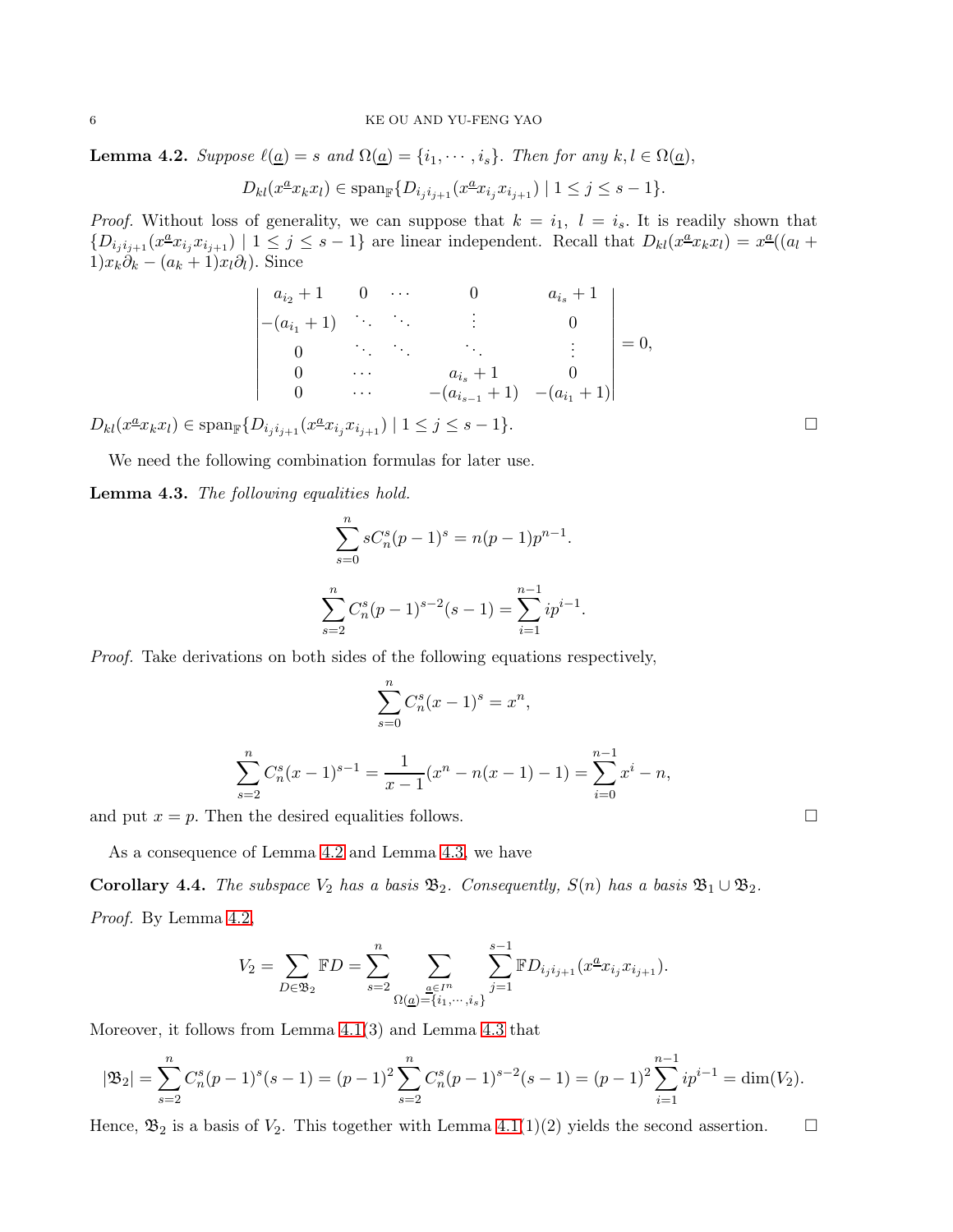<span id="page-5-0"></span>**Lemma 4.2.** *Suppose*  $\ell(\underline{a}) = s$  *and*  $\Omega(\underline{a}) = \{i_1, \dots, i_s\}$ *. Then for any*  $k, l \in \Omega(\underline{a})$ *,* 

$$
D_{kl}(x^{\underline{a}}x_kx_l) \in \text{span}_{\mathbb{F}}\{D_{i_ji_{j+1}}(x^{\underline{a}}x_{i_j}x_{i_{j+1}}) \mid 1 \leq j \leq s-1\}.
$$

*Proof.* Without loss of generality, we can suppose that  $k = i_1, l = i_s$ . It is readily shown that  $\{D_{i_j i_{j+1}}(x^{\underline{a}} x_{i_j} x_{i_{j+1}}) \mid 1 \leq j \leq s-1\}$  are linear independent. Recall that  $D_{kl}(x^{\underline{a}} x_k x_l) = x^{\underline{a}}((a_l +$  $1)x_k\delta_k - (a_k + 1)x_l\partial_l$ ). Since

$$
\begin{vmatrix} a_{i_2}+1 & 0 & \cdots & 0 & a_{i_s}+1 \\ -(a_{i_1}+1) & \ddots & \ddots & \vdots & 0 \\ 0 & \ddots & \ddots & \ddots & \vdots \\ 0 & \cdots & a_{i_s}+1 & 0 \\ 0 & \cdots & -(a_{i_{s-1}}+1) & -(a_{i_1}+1) \end{vmatrix} = 0,
$$

 $D_{kl}(x^{\underline{a}}x_kx_l) \in \text{span}_{\mathbb{F}}\{D_{i_ji_{j+1}}(x^{\underline{a}}x_{i_j}x_{i_{j+1}}) \mid 1 \leq j \leq s-1\}.$ 

We need the following combination formulas for later use.

<span id="page-5-1"></span>Lemma 4.3. *The following equalities hold.*

$$
\sum_{s=0}^{n} sC_n^s (p-1)^s = n(p-1)p^{n-1}.
$$
  

$$
\sum_{s=2}^{n} C_n^s (p-1)^{s-2} (s-1) = \sum_{i=1}^{n-1} ip^{i-1}.
$$

*Proof.* Take derivations on both sides of the following equations respectively,

$$
\sum_{s=0}^{n} C_n^s (x-1)^s = x^n,
$$

$$
\sum_{s=2}^{n} C_n^s (x-1)^{s-1} = \frac{1}{x-1} (x^n - n(x-1) - 1) = \sum_{i=0}^{n-1} x^i - n,
$$

and put  $x = p$ . Then the desired equalities follows.

As a consequence of Lemma [4.2](#page-5-0) and Lemma [4.3,](#page-5-1) we have

<span id="page-5-2"></span>**Corollary 4.4.** *The subspace*  $V_2$  *has a basis*  $\mathfrak{B}_2$ *. Consequently,*  $S(n)$  *has a basis*  $\mathfrak{B}_1 \cup \mathfrak{B}_2$ *. Proof.* By Lemma [4.2,](#page-5-0)

$$
V_2 = \sum_{D \in \mathfrak{B}_2} \mathbb{F}D = \sum_{s=2}^n \sum_{\substack{\underline{a} \in I^n \\ \Omega(\underline{a}) = \{i_1, \dots, i_s\}}} \sum_{j=1}^{s-1} \mathbb{F}D_{i_j i_{j+1}}(x^{\underline{a}} x_{i_j} x_{i_{j+1}}).
$$

Moreover, it follows from Lemma [4.1\(](#page-4-2)3) and Lemma [4.3](#page-5-1) that

$$
|\mathfrak{B}_2| = \sum_{s=2}^n C_n^s (p-1)^s (s-1) = (p-1)^2 \sum_{s=2}^n C_n^s (p-1)^{s-2} (s-1) = (p-1)^2 \sum_{i=1}^{n-1} i p^{i-1} = \dim(V_2).
$$

Hence,  $\mathfrak{B}_2$  is a basis of  $V_2$ . This together with Lemma [4.1\(](#page-4-2)1)(2) yields the second assertion.  $\square$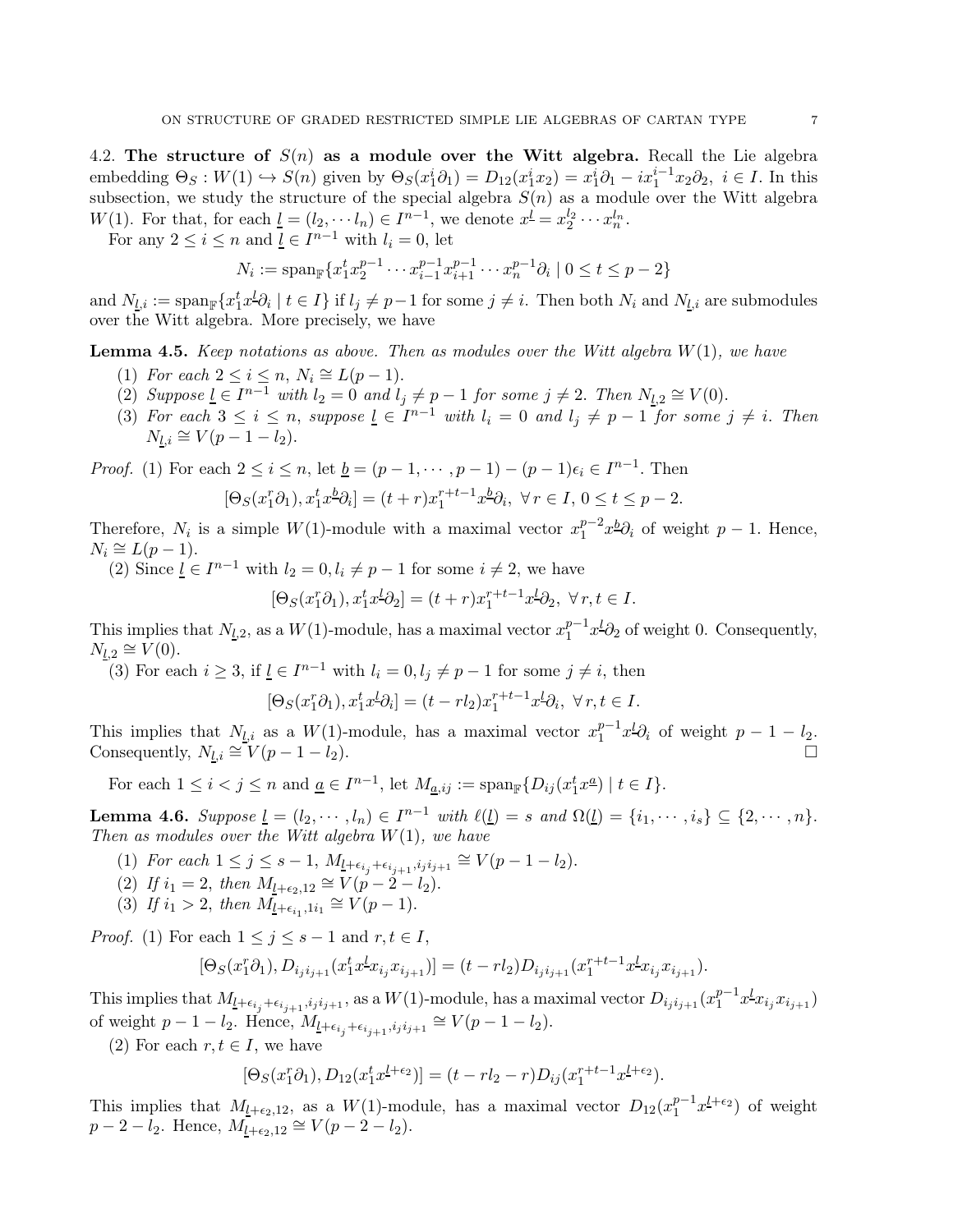4.2. The structure of  $S(n)$  as a module over the Witt algebra. Recall the Lie algebra embedding  $\Theta_S : W(1) \hookrightarrow S(n)$  given by  $\Theta_S(x_1^i \partial_1) = D_{12}(x_1^i x_2) = x_1^i \partial_1 - i x_1^{i-1} x_2 \partial_2, i \in I$ . In this subsection, we study the structure of the special algebra  $S(n)$  as a module over the Witt algebra  $W(1)$ . For that, for each  $\underline{l} = (l_2, \dots, l_n) \in I^{n-1}$ , we denote  $x^{\underline{l}} = x_2^{l_2} \cdots x_n^{l_n}$ .

For any  $2 \leq i \leq n$  and  $\underline{l} \in I^{n-1}$  with  $l_i = 0$ , let

$$
N_i := \text{span}_{\mathbb{F}} \{ x_1^t x_2^{p-1} \cdots x_{i-1}^{p-1} x_{i+1}^{p-1} \cdots x_n^{p-1} \partial_i \mid 0 \le t \le p-2 \}
$$

and  $N_{\underline{l},i} := \text{span}_{\mathbb{F}}\{x_1^t x_1^l \partial_i \mid t \in I\}$  if  $l_j \neq p-1$  for some  $j \neq i$ . Then both  $N_i$  and  $N_{\underline{l},i}$  are submodules over the Witt algebra. More precisely, we have

<span id="page-6-0"></span>Lemma 4.5. *Keep notations as above. Then as modules over the Witt algebra* W(1)*, we have*

- (1) For each  $2 \leq i \leq n$ ,  $N_i \cong L(p-1)$ .
- (2) Suppose  $\underline{l} \in I^{n-1}$  with  $l_2 = 0$  and  $l_j \neq p-1$  for some  $j \neq 2$ . Then  $N_{\underline{l},2} \cong V(0)$ .
- (3) For each  $3 \leq i \leq n$ , suppose  $\underline{l} \in I^{n-1}$  with  $l_i = 0$  and  $l_j \neq p-1$  for some  $j \neq i$ . Then  $N_{l,i} \cong V(p-1-l_2).$

*Proof.* (1) For each  $2 \le i \le n$ , let  $\underline{b} = (p - 1, \dots, p - 1) - (p - 1)\epsilon_i \in I^{n-1}$ . Then

$$
[\Theta_S(x_1^r \partial_1), x_1^t x_2^b \partial_i] = (t+r)x_1^{r+t-1} x_2^b \partial_i, \ \forall r \in I, \ 0 \le t \le p-2.
$$

Therefore,  $N_i$  is a simple  $W(1)$ -module with a maximal vector  $x_1^{p-2}$  $j_1^{p-2}x^{\underline{b}}\partial_i$  of weight  $p-1$ . Hence,  $N_i \cong L(p-1).$ 

(2) Since  $\underline{l} \in I^{n-1}$  with  $l_2 = 0, l_i \neq p-1$  for some  $i \neq 2$ , we have

$$
[\Theta_S(x_1^r \partial_1), x_1^t x^l \partial_2] = (t+r)x_1^{r+t-1}x^l \partial_2, \ \forall r, t \in I.
$$

This implies that  $N_{\underline{l},2}$ , as a  $W(1)$ -module, has a maximal vector  $x_1^{p-1}$  $_{1}^{p-1}x^{1}\partial_{2}$  of weight 0. Consequently,  $N_{\underline{l},2} \cong V(0)$ .

(3) For each  $i \geq 3$ , if  $l \in I^{n-1}$  with  $l_i = 0, l_j \neq p-1$  for some  $j \neq i$ , then

$$
[\Theta_S(x_1^r \partial_1), x_1^t x_2^t \partial_i] = (t - r l_2) x_1^{r+t-1} x_2^t \partial_i, \forall r, t \in I.
$$

This implies that  $N_{l,i}$  as a  $W(1)$ -module, has a maximal vector  $x_1^{p-1}$  $j_1^{p-1}x^{l}\partial_i$  of weight  $p-1-l_2$ . Consequently,  $N_{l,i} \cong V(p-1-l_2)$ .

For each  $1 \leq i < j \leq n$  and  $\underline{a} \in I^{n-1}$ , let  $M_{\underline{a},ij} := \text{span}_{\mathbb{F}}\{D_{ij}(x_1^t x^{\underline{a}}) \mid t \in I\}$ .

<span id="page-6-1"></span>Lemma 4.6. *Suppose*  $\underline{l} = (l_2, \dots, l_n) \in I^{n-1}$  *with*  $\ell(\underline{l}) = s$  *and*  $\Omega(\underline{l}) = \{i_1, \dots, i_s\} \subseteq \{2, \dots, n\}.$ *Then as modules over the Witt algebra* W(1)*, we have*

- (1) *For each*  $1 \leq j \leq s-1$ ,  $M_{\underline{l}+\epsilon_{i_j}+\epsilon_{i_{j+1}},i_ji_{j+1}} \cong V(p-1-l_2)$ .
- (2) *If*  $i_1 = 2$ , *then*  $M_{l+\epsilon_2,12} \cong V(p-2-l_2)$ .
- (3) If  $i_1 > 2$ , then  $M_{l+\epsilon_{i_1},1i_1} \cong V(p-1)$ .

*Proof.* (1) For each  $1 \leq j \leq s - 1$  and  $r, t \in I$ ,

$$
[\Theta_S(x_1^r \partial_1), D_{i_j i_{j+1}}(x_1^t x_2^t x_{i_j} x_{i_{j+1}})] = (t - r l_2) D_{i_j i_{j+1}}(x_1^{r+t-1} x_2^t x_{i_j} x_{i_{j+1}}).
$$

This implies that  $M_{\underline{l}+\epsilon_{i_j}+\epsilon_{i_{j+1}},i_ji_{j+1}},$  as a  $W(1)$ -module, has a maximal vector  $D_{i_ji_{j+1}}(x_1^{p-1})$  $_{1}^{p-1}x_{i}^{l}x_{i_{j}+1})$ of weight  $p-1-l_2$ . Hence,  $M_{\underline{l}+\epsilon_{i_j}+\epsilon_{i_{j+1}},i_ji_{j+1}} \cong V(p-1-l_2)$ .

(2) For each  $r, t \in I$ , we have

$$
[\Theta_S(x_1^r \partial_1), D_{12}(x_1^t x^{l+\epsilon_2})] = (t - r l_2 - r) D_{ij}(x_1^{r+t-1} x^{l+\epsilon_2}).
$$

This implies that  $M_{l+\epsilon_2,12}$ , as a  $W(1)$ -module, has a maximal vector  $D_{12}(x_1^{p-1})$  $i_1^{p-1}x^{\underline{l}+\epsilon_2}$  of weight  $p-2-l_2$ . Hence,  $M_{l+\epsilon_2,12} \cong V(p-2-l_2)$ .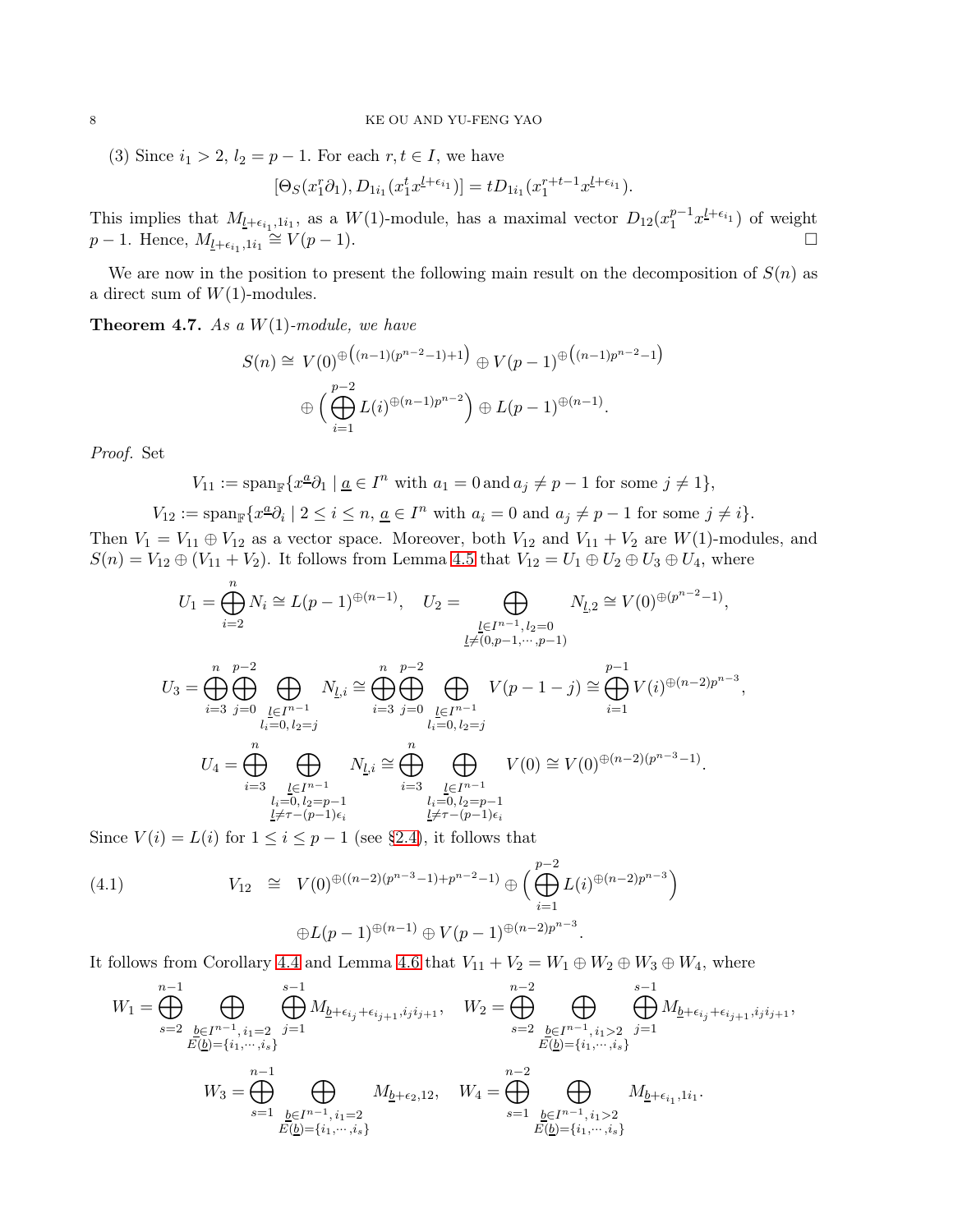(3) Since  $i_1 > 2$ ,  $l_2 = p - 1$ . For each  $r, t \in I$ , we have

$$
[\Theta_S(x_1^r \partial_1), D_{1i_1}(x_1^t x_1^{l+\epsilon_{i_1}})] = t D_{1i_1}(x_1^{r+t-1} x_1^{l+\epsilon_{i_1}}).
$$

This implies that  $M_{\underline{l}+\epsilon_{i_1},1i_1}$ , as a  $W(1)$ -module, has a maximal vector  $D_{12}(x_1^{p-1})$  $j_1^{p-1}x_1^{l+\epsilon_{i_1}}$  of weight  $p-1$ . Hence,  $M_{\underline{l}+\epsilon_{i_1},1i_1}$  $\cong V(p-1).$ 

We are now in the position to present the following main result on the decomposition of  $S(n)$  as a direct sum of  $W(1)$ -modules.

<span id="page-7-1"></span>Theorem 4.7. *As a* W(1)*-module, we have*

$$
S(n) \cong V(0)^{\oplus \left( (n-1)(p^{n-2}-1)+1 \right)} \oplus V(p-1)^{\oplus \left( (n-1)p^{n-2}-1 \right)}
$$

$$
\oplus \left( \bigoplus_{i=1}^{p-2} L(i)^{\oplus (n-1)p^{n-2}} \right) \oplus L(p-1)^{\oplus (n-1)}.
$$

*Proof.* Set

$$
V_{11} := \operatorname{span}_{\mathbb{F}} \{ x^{\underline{a}} \partial_1 \mid \underline{a} \in I^n \text{ with } a_1 = 0 \text{ and } a_j \neq p-1 \text{ for some } j \neq 1 \},\
$$

$$
V_{12} := \operatorname{span}_{\mathbb{F}} \{ x^{\underline{a}} \partial_i \mid 2 \le i \le n, \, \underline{a} \in I^n \text{ with } a_i = 0 \text{ and } a_j \ne p-1 \text{ for some } j \ne i \}.
$$

Then  $V_1 = V_{11} \oplus V_{12}$  as a vector space. Moreover, both  $V_{12}$  and  $V_{11} + V_2$  are  $W(1)$ -modules, and  $S(n) = V_{12} \oplus (V_{11} + V_2)$ . It follows from Lemma [4.5](#page-6-0) that  $V_{12} = U_1 \oplus U_2 \oplus U_3 \oplus U_4$ , where

$$
U_{1} = \bigoplus_{i=2}^{n} N_{i} \cong L(p-1)^{\oplus (n-1)}, \quad U_{2} = \bigoplus_{\substack{l \in I^{n-1}, l_{2} = 0 \\ \downarrow \neq (0, p-1, \cdots, p-1)}} N_{l,2} \cong V(0)^{\oplus (p^{n-2}-1)},
$$
  

$$
U_{3} = \bigoplus_{i=3}^{n} \bigoplus_{\substack{j=0 \\ l_{i} = 0, l_{2} = j}} N_{l,i} \cong \bigoplus_{i=3}^{n} \bigoplus_{\substack{j=0 \\ j=0}}^{p-2} \bigoplus_{\substack{l \in I^{n-1} \\ l_{i} = 0, l_{2} = j}} V(p-1-j) \cong \bigoplus_{i=1}^{p-1} V(i)^{\oplus (n-2)p^{n-3}},
$$
  

$$
U_{4} = \bigoplus_{i=3}^{n} \bigoplus_{\substack{l \in I^{n-1} \\ l_{i} = 0, l_{2} = p-1}} N_{l,i} \cong \bigoplus_{i=3}^{n} \bigoplus_{\substack{l \in I^{n-1} \\ l_{i} = 0, l_{2} = p-1}} V(0) \cong V(0)^{\oplus (n-2)(p^{n-3}-1)}.
$$
  

$$
\bigoplus_{\substack{l \neq r-(p-1)\epsilon_{i}}}^{n} N_{l,i} \cong \bigoplus_{\substack{l \neq r-(p-1)\epsilon_{i}}}^{n} \bigoplus_{\substack{l \neq r-(p-1)\epsilon_{i}}}^{n} V(0) \cong V(0)^{\oplus (n-2)(p^{n-3}-1)}.
$$

Since  $V(i) = L(i)$  for  $1 \leq i \leq p-1$  (see [§2.4\)](#page-3-2), it follows that

<span id="page-7-0"></span>(4.1) 
$$
V_{12} \cong V(0)^{\oplus((n-2)(p^{n-3}-1)+p^{n-2}-1)} \oplus \Big( \bigoplus_{i=1}^{p-2} L(i)^{\oplus(n-2)p^{n-3}} \Big)
$$

$$
\oplus L(p-1)^{\oplus(n-1)} \oplus V(p-1)^{\oplus(n-2)p^{n-3}}.
$$

It follows from Corollary [4.4](#page-5-2) and Lemma [4.6](#page-6-1) that  $V_{11} + V_2 = W_1 \oplus W_2 \oplus W_3 \oplus W_4$ , where

$$
W_1 = \bigoplus_{s=2}^{n-1} \bigoplus_{\substack{b \in I^{n-1}, i_1 = 2 \\ E(\underline{b}) = \{i_1, \cdots, i_s\}}} \bigoplus_{j=1}^{s-1} M_{\underline{b} + \epsilon_{i_j} + \epsilon_{i_{j+1}}, i_j i_{j+1}}, \quad W_2 = \bigoplus_{s=2}^{n-2} \bigoplus_{\substack{b \in I^{n-1}, i_1 > 2 \\ E(\underline{b}) = \{i_1, \cdots, i_s\}}} \bigoplus_{j=1}^{s-1} M_{\underline{b} + \epsilon_{i_j} + \epsilon_{i_{j+1}}, i_j i_{j+1}},
$$
  

$$
W_3 = \bigoplus_{s=1}^{n-1} \bigoplus_{\substack{b \in I^{n-1}, i_1 = 2 \\ E(\underline{b}) = \{i_1, \cdots, i_s\}}} M_{\underline{b} + \epsilon_{2}, 12}, \quad W_4 = \bigoplus_{s=1}^{n-2} \bigoplus_{\substack{b \in I^{n-1}, i_1 > 2 \\ E(\underline{b}) = \{i_1, \cdots, i_s\}}} M_{\underline{b} + \epsilon_{i_1}, 1 i_1}.
$$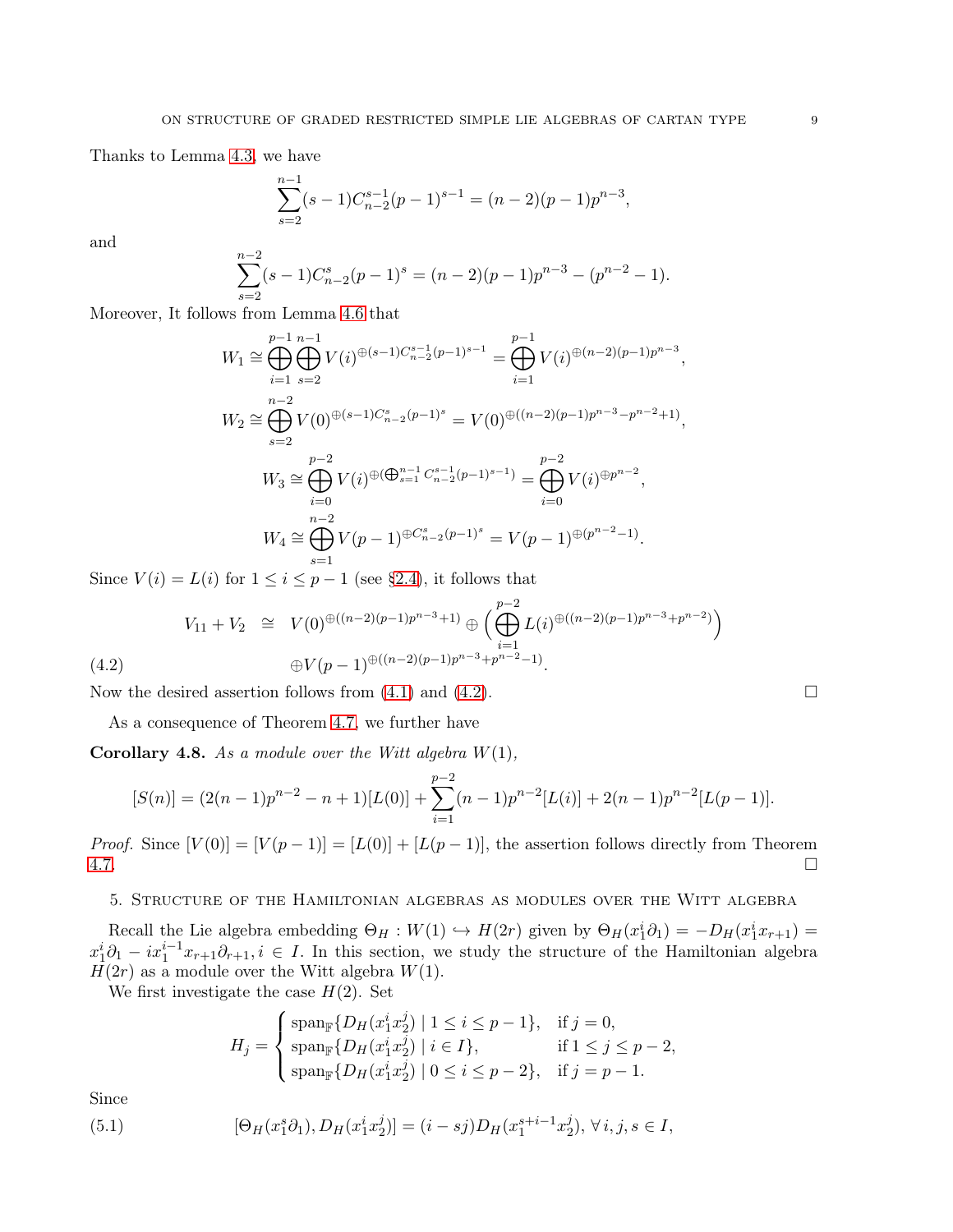Thanks to Lemma [4.3,](#page-5-1) we have

$$
\sum_{s=2}^{n-1} (s-1)C_{n-2}^{s-1}(p-1)^{s-1} = (n-2)(p-1)p^{n-3},
$$

and

$$
\sum_{s=2}^{n-2} (s-1)C_{n-2}^s (p-1)^s = (n-2)(p-1)p^{n-3} - (p^{n-2} - 1).
$$

Moreover, It follows from Lemma [4.6](#page-6-1) that

$$
W_1 \cong \bigoplus_{i=1}^{p-1} \bigoplus_{s=2}^{n-1} V(i)^{\oplus (s-1)C_{n-2}^{s-1}(p-1)^{s-1}} = \bigoplus_{i=1}^{p-1} V(i)^{\oplus (n-2)(p-1)p^{n-3}},
$$
  
\n
$$
W_2 \cong \bigoplus_{s=2}^{n-2} V(0)^{\oplus (s-1)C_{n-2}^s(p-1)^s} = V(0)^{\oplus ((n-2)(p-1)p^{n-3}-p^{n-2}+1)},
$$
  
\n
$$
W_3 \cong \bigoplus_{i=0}^{p-2} V(i)^{\oplus (\bigoplus_{s=1}^{n-1} C_{n-2}^{s-1}(p-1)^{s-1})} = \bigoplus_{i=0}^{p-2} V(i)^{\oplus p^{n-2}},
$$
  
\n
$$
W_4 \cong \bigoplus_{s=1}^{n-2} V(p-1)^{\oplus C_{n-2}^s(p-1)^s} = V(p-1)^{\oplus (p^{n-2}-1)}.
$$

Since  $V(i) = L(i)$  for  $1 \leq i \leq p-1$  (see [§2.4\)](#page-3-2), it follows that

<span id="page-8-0"></span>
$$
V_{11} + V_2 \cong V(0)^{\oplus((n-2)(p-1)p^{n-3}+1)} \oplus \Big(\bigoplus_{i=1}^{p-2} L(i)^{\oplus((n-2)(p-1)p^{n-3}+p^{n-2})}\Big)
$$
  
(4.2) 
$$
\oplus V(p-1)^{\oplus((n-2)(p-1)p^{n-3}+p^{n-2}-1)}.
$$

Now the desired assertion follows from  $(4.1)$  and  $(4.2)$ .

As a consequence of Theorem [4.7,](#page-7-1) we further have

Corollary 4.8. *As a module over the Witt algebra* W(1)*,*

$$
[S(n)] = (2(n-1)p^{n-2} - n + 1)[L(0)] + \sum_{i=1}^{p-2} (n-1)p^{n-2}[L(i)] + 2(n-1)p^{n-2}[L(p-1)].
$$

*Proof.* Since  $[V(0)] = [V(p-1)] = [L(0)] + [L(p-1)]$ , the assertion follows directly from Theorem [4.7.](#page-7-1)

## 5. Structure of the Hamiltonian algebras as modules over the Witt algebra

Recall the Lie algebra embedding  $\Theta_H : W(1) \hookrightarrow H(2r)$  given by  $\Theta_H(x_1^i \partial_1) = -D_H(x_1^i x_{r+1}) =$  $x_1^i\partial_1 - ix_1^{i-1}x_{r+1}\partial_{r+1}, i \in I$ . In this section, we study the structure of the Hamiltonian algebra  $H(2r)$  as a module over the Witt algebra  $W(1)$ .

We first investigate the case  $H(2)$ . Set

<span id="page-8-1"></span>
$$
H_j = \begin{cases} \text{span}_{\mathbb{F}}\{D_H(x_1^i x_2^j) \mid 1 \le i \le p-1\}, & \text{if } j = 0, \\ \text{span}_{\mathbb{F}}\{D_H(x_1^i x_2^j) \mid i \in I\}, & \text{if } 1 \le j \le p-2, \\ \text{span}_{\mathbb{F}}\{D_H(x_1^i x_2^j) \mid 0 \le i \le p-2\}, & \text{if } j = p-1. \end{cases}
$$

Since

(5.1) 
$$
[\Theta_H(x_1^s \partial_1), D_H(x_1^i x_2^j)] = (i - sj)D_H(x_1^{s+i-1} x_2^j), \forall i, j, s \in I,
$$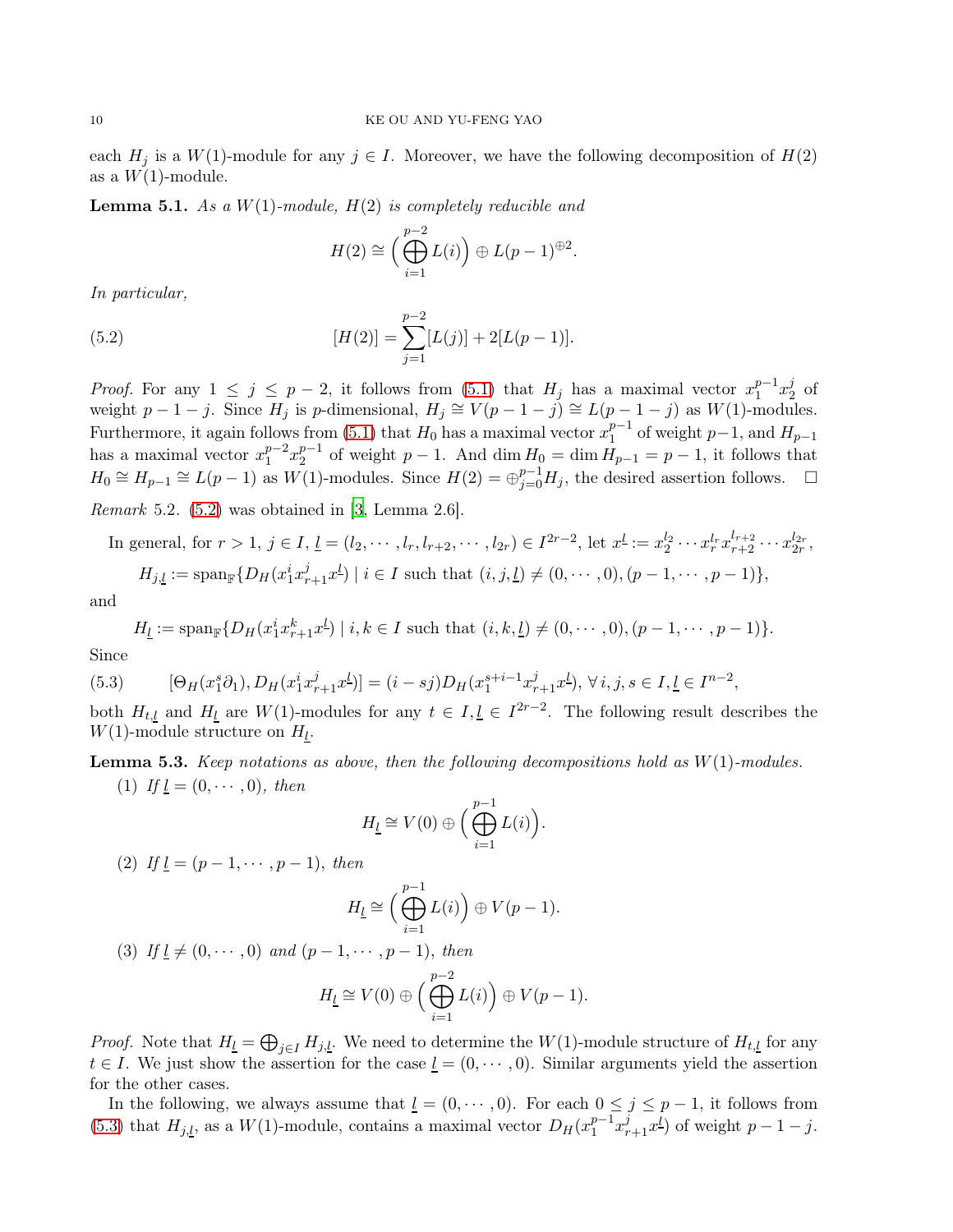each  $H_j$  is a  $W(1)$ -module for any  $j \in I$ . Moreover, we have the following decomposition of  $H(2)$ as a  $W(1)$ -module.

<span id="page-9-2"></span>Lemma 5.1. *As a* W(1)*-module,* H(2) *is completely reducible and*

<span id="page-9-0"></span>
$$
H(2) \cong \left(\bigoplus_{i=1}^{p-2} L(i)\right) \oplus L(p-1)^{\oplus 2}
$$

.

*In particular,*

(5.2) 
$$
[H(2)] = \sum_{j=1}^{p-2} [L(j)] + 2[L(p-1)].
$$

*Proof.* For any  $1 \leq j \leq p-2$ , it follows from  $(5.1)$  that  $H_j$  has a maximal vector  $x_1^{p-1}$  $_{1}^{p-1}x_{2}^{j}$  $rac{J}{2}$  of weight  $p-1-j$ . Since  $H_j$  is p-dimensional,  $H_j \cong V(p-1-j) \cong L(p-1-j)$  as  $W(1)$ -modules. Furthermore, it again follows from [\(5.1\)](#page-8-1) that  $H_0$  has a maximal vector  $x_1^{p-1}$  $_1^{p-1}$  of weight  $p-1$ , and  $H_{p-1}$ has a maximal vector  $x_1^{p-2}$  $_{1}^{p-2}x_{2}^{p-1}$  $a_2^{p-1}$  of weight  $p-1$ . And  $\dim H_0 = \dim H_{p-1} = p-1$ , it follows that  $H_0 \cong H_{p-1} \cong L(p-1)$  as  $W(1)$ -modules. Since  $H(2) = \bigoplus_{j=0}^{p-1} H_j$ , the desired assertion follows.  $\Box$ 

*Remark* 5.2*.* [\(5.2\)](#page-9-0) was obtained in [\[3,](#page-11-5) Lemma 2.6].

In general, for 
$$
r > 1
$$
,  $j \in I$ ,  $\underline{l} = (l_2, \dots, l_r, l_{r+2}, \dots, l_{2r}) \in I^{2r-2}$ , let  $x^{\underline{l}} := x_2^{l_2} \cdots x_r^{l_r} x_{r+2}^{l_{r+2}} \cdots x_{2r}^{l_{2r}}$ ,  
\n $H_{j,\underline{l}} := \text{span}_{\mathbb{F}}\{D_H(x_1^i x_{r+1}^j x^{\underline{l}}) \mid i \in I \text{ such that } (i, j, \underline{l}) \neq (0, \dots, 0), (p-1, \dots, p-1)\},$ 

and

<span id="page-9-1"></span>
$$
H_{\underline{l}} := \mathrm{span}_{\mathbb{F}} \{ D_H(x_1^i x_{r+1}^k x^{\underline{l}}) \mid i, k \in I \text{ such that } (i, k, \underline{l}) \neq (0, \cdots, 0), (p-1, \cdots, p-1) \}.
$$

Since

$$
(5.3) \qquad [\Theta_H(x_1^s \partial_1), D_H(x_1^i x_{r+1}^j x^l)] = (i - sj)D_H(x_1^{s+i-1} x_{r+1}^j x^l), \forall i, j, s \in I, \underline{l} \in I^{n-2},
$$

both  $H_{t,l}$  and  $H_l$  are  $W(1)$ -modules for any  $t \in I, l \in I^{2r-2}$ . The following result describes the  $W(1)$ -module structure on  $H_l$ .

<span id="page-9-3"></span>Lemma 5.3. *Keep notations as above, then the following decompositions hold as* W(1)*-modules.* (1) *If*  $\underline{l} = (0, \cdots, 0)$ *, then* 

$$
H_{\underline{l}} \cong V(0) \oplus \Big(\bigoplus_{i=1}^{p-1} L(i)\Big).
$$

(2) *If*  $l = (p - 1, \dots, p - 1)$ , *then* 

$$
H_{\underline{l}} \cong \Big(\bigoplus_{i=1}^{p-1} L(i)\Big) \oplus V(p-1).
$$

(3) *If*  $\underline{l} \neq (0, \dots, 0)$  *and*  $(p-1, \dots, p-1)$ , *then* 

$$
H_{\underline{l}} \cong V(0) \oplus \Big(\bigoplus_{i=1}^{p-2} L(i)\Big) \oplus V(p-1).
$$

*Proof.* Note that  $H_{\underline{l}} = \bigoplus_{j \in I} H_{j,\underline{l}}$ . We need to determine the  $W(1)$ -module structure of  $H_{t,\underline{l}}$  for any  $t \in I$ . We just show the assertion for the case  $\underline{l} = (0, \dots, 0)$ . Similar arguments yield the assertion for the other cases.

In the following, we always assume that  $\underline{l} = (0, \dots, 0)$ . For each  $0 \le j \le p - 1$ , it follows from [\(5.3\)](#page-9-1) that  $H_{j,l}$ , as a  $W(1)$ -module, contains a maximal vector  $D_H(x_1^{p-1})$  $_{1}^{p-1}x_{r+1}^{j}x^{l}$  of weight  $p-1-j$ .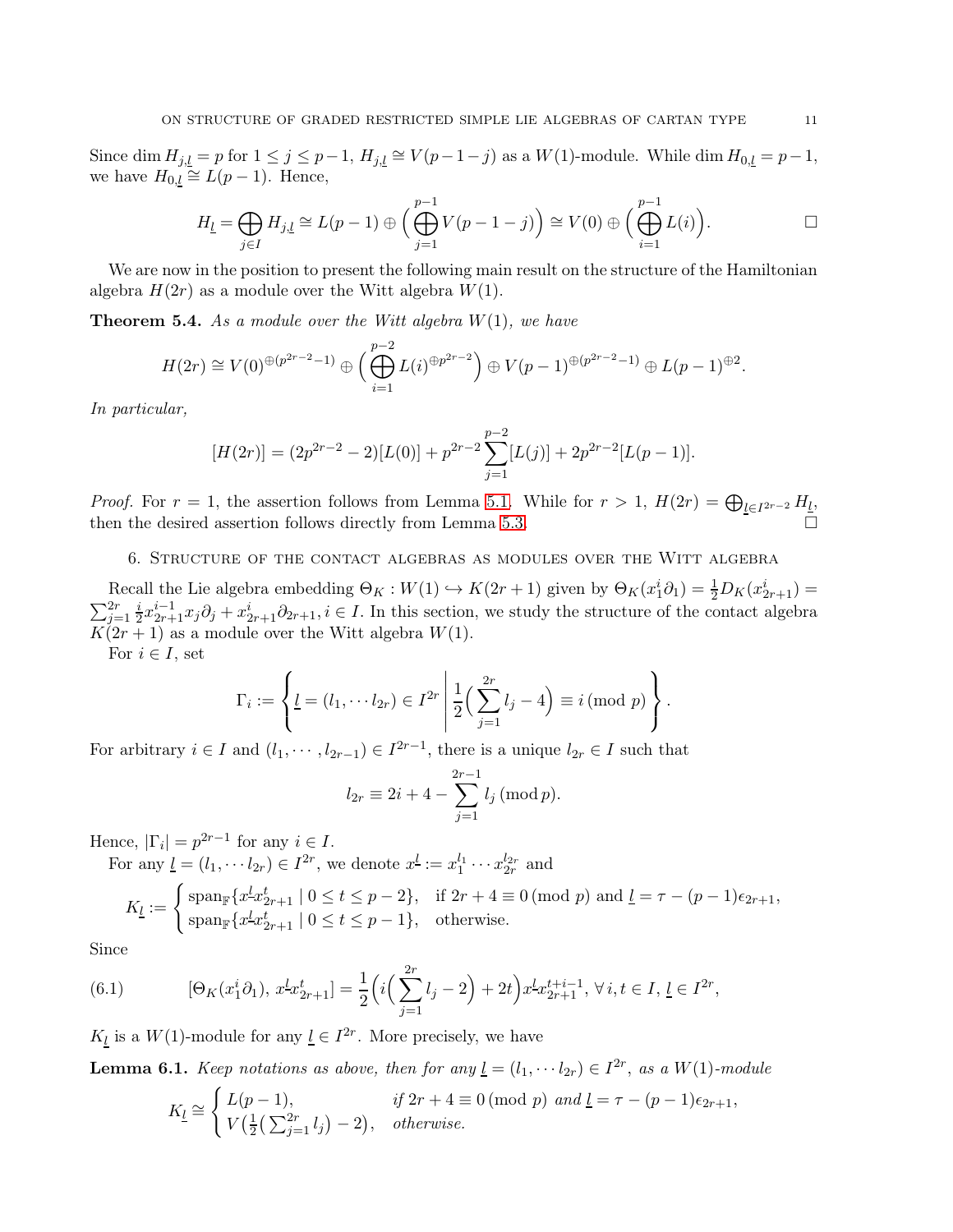Since dim  $H_{j,l} = p$  for  $1 \le j \le p-1$ ,  $H_{j,l} \cong V(p-1-j)$  as a  $W(1)$ -module. While dim  $H_{0,l} = p-1$ , we have  $H_{0,l} \cong L(p-1)$ . Hence,

$$
H_{\underline{l}} = \bigoplus_{j \in I} H_{j,\underline{l}} \cong L(p-1) \oplus \Big(\bigoplus_{j=1}^{p-1} V(p-1-j)\Big) \cong V(0) \oplus \Big(\bigoplus_{i=1}^{p-1} L(i)\Big).
$$

We are now in the position to present the following main result on the structure of the Hamiltonian algebra  $H(2r)$  as a module over the Witt algebra  $W(1)$ .

Theorem 5.4. *As a module over the Witt algebra* W(1)*, we have*

$$
H(2r) \cong V(0)^{\oplus (p^{2r-2}-1)} \oplus \Big(\bigoplus_{i=1}^{p-2} L(i)^{\oplus p^{2r-2}}\Big) \oplus V(p-1)^{\oplus (p^{2r-2}-1)} \oplus L(p-1)^{\oplus 2}.
$$

*In particular,*

$$
[H(2r)] = (2p^{2r-2} - 2)[L(0)] + p^{2r-2} \sum_{j=1}^{p-2} [L(j)] + 2p^{2r-2}[L(p-1)].
$$

*Proof.* For  $r = 1$ , the assertion follows from Lemma [5.1.](#page-9-2) While for  $r > 1$ ,  $H(2r) = \bigoplus_{l \in I^{2r-2}} H_l$ , then the desired assertion follows directly from Lemma [5.3.](#page-9-3)

6. Structure of the contact algebras as modules over the Witt algebra

Recall the Lie algebra embedding  $\Theta_K : W(1) \hookrightarrow K(2r+1)$  given by  $\Theta_K(x_1^i \partial_1) = \frac{1}{2} D_K(x_{2r+1}^i) =$  $\sum_{j=1}^{2r} \frac{i}{2}$  $\frac{i}{2}x_{2r+1}^{i-1}x_j\partial_j + x_{2r+1}^i\partial_{2r+1}, i \in I$ . In this section, we study the structure of the contact algebra  $K(2r+1)$  as a module over the Witt algebra  $W(1)$ .

For  $i \in I$ , set

$$
\Gamma_i := \left\{ \underline{l} = (l_1, \cdots l_{2r}) \in I^{2r} \middle| \frac{1}{2} \left( \sum_{j=1}^{2r} l_j - 4 \right) \equiv i \pmod{p} \right\}.
$$

For arbitrary  $i \in I$  and  $(l_1, \dots, l_{2r-1}) \in I^{2r-1}$ , there is a unique  $l_{2r} \in I$  such that

$$
l_{2r} \equiv 2i + 4 - \sum_{j=1}^{2r-1} l_j \, (\text{mod } p).
$$

Hence,  $|\Gamma_i| = p^{2r-1}$  for any  $i \in I$ .

For any  $\underline{l} = (l_1, \dotsb l_{2r}) \in I^{2r}$ , we denote  $x^{\underline{l}} := x_1^{l_1} \dotsb x_{2r}^{l_{2r}}$  and

$$
K_{\underline{l}}:=\left\{\begin{aligned} \operatorname{span}_{\mathbb{F}}\{x^{\underline{l}}x^{\underline{t}}_{2r+1}\mid 0\leq t\leq p-2\}, & \text{if }2r+4\equiv 0\,(\text{mod }p)\text{ and }{\underline{l}}=\tau-(p-1)\epsilon_{2r+1},\\ \operatorname{span}_{\mathbb{F}}\{x^{\underline{l}}x^{\underline{t}}_{2r+1}\mid 0\leq t\leq p-1\}, & \text{otherwise.}\end{aligned}\right.
$$

Since

<span id="page-10-0"></span>(6.1) 
$$
[\Theta_K(x_1^i \partial_1), x^L x_{2r+1}^t] = \frac{1}{2} \Big( i \Big( \sum_{j=1}^{2r} l_j - 2 \Big) + 2t \Big) x^L x_{2r+1}^{t+i-1}, \forall i, t \in I, \underline{l} \in I^{2r},
$$

 $K_l$  is a  $W(1)$ -module for any  $l \in I^{2r}$ . More precisely, we have

<span id="page-10-1"></span>**Lemma 6.1.** *Keep notations as above, then for any*  $\underline{l} = (l_1, \dotsm l_{2r}) \in I^{2r}$ , *as a*  $W(1)$ *-module* 

$$
K_{\underline{l}} \cong \begin{cases} L(p-1), & \text{if } 2r+4 \equiv 0 \pmod{p} \text{ and } \underline{l} = \tau - (p-1)\epsilon_{2r+1}, \\ V(\frac{1}{2}(\sum_{j=1}^{2r} l_j) - 2), & \text{otherwise.} \end{cases}
$$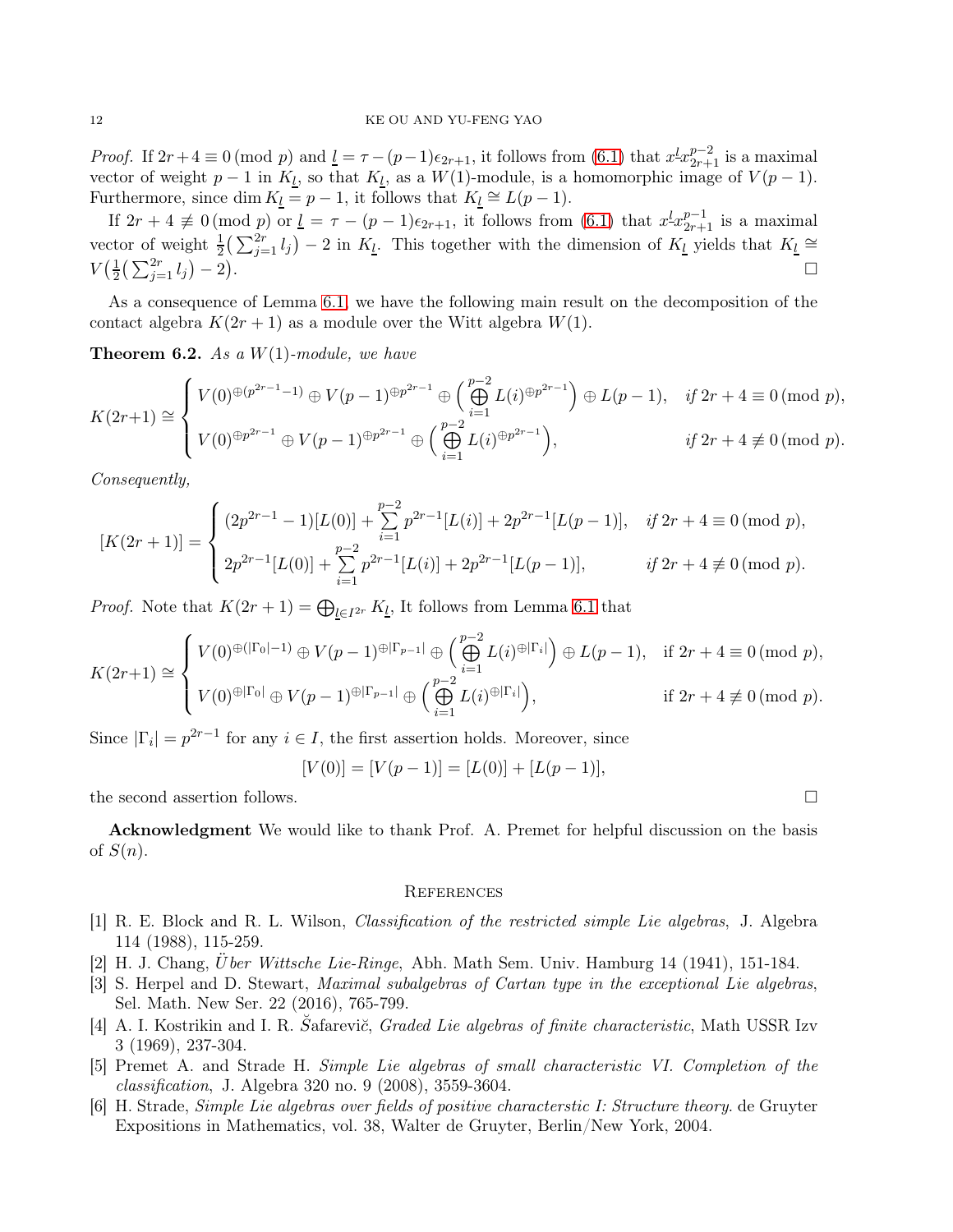## 12 KE OU AND YU-FENG YAO

*Proof.* If  $2r + 4 \equiv 0 \pmod{p}$  and  $\underline{l} = \tau - (p-1)\epsilon_{2r+1}$ , it follows from [\(6.1\)](#page-10-0) that  $x^l x_{2r+1}^{p-2}$  is a maximal vector of weight  $p-1$  in  $K_l$ , so that  $K_l$ , as a  $W(1)$ -module, is a homomorphic image of  $V(p-1)$ . Furthermore, since dim  $K_l = p - 1$ , it follows that  $K_l \cong L(p - 1)$ .

If  $2r + 4 \not\equiv 0 \pmod{p}$  or  $\underline{l} = \tau - (p-1)\epsilon_{2r+1}$ , it follows from  $(6.1)$  that  $x^{\underline{l}} x_{2r+1}^{p-1}$  is a maximal vector of weight  $\frac{1}{2}(\sum_{j=1}^{2r} l_j) - 2$  in  $K_l$ . This together with the dimension of  $K_l$  yields that  $K_l \cong$  $V(\frac{1}{2})$  $\frac{1}{2}(\sum_{j=1}^{2r} l_j) - 2)$ . In the contract of the contract of the contract of the contract of the contract of the contract of the contract of

As a consequence of Lemma [6.1,](#page-10-1) we have the following main result on the decomposition of the contact algebra  $K(2r+1)$  as a module over the Witt algebra  $W(1)$ .

Theorem 6.2. *As a* W(1)*-module, we have*

$$
K(2r+1) \cong \begin{cases} V(0)^{\oplus (p^{2r-1}-1)} \oplus V(p-1)^{\oplus p^{2r-1}} \oplus \left(\bigoplus_{i=1}^{p-2} L(i)^{\oplus p^{2r-1}}\right) \oplus L(p-1), & if \ 2r+4 \equiv 0 \pmod{p}, \\ V(0)^{\oplus p^{2r-1}} \oplus V(p-1)^{\oplus p^{2r-1}} \oplus \left(\bigoplus_{i=1}^{p-2} L(i)^{\oplus p^{2r-1}}\right), & if \ 2r+4 \not\equiv 0 \pmod{p}. \end{cases}
$$

*Consequently,*

$$
[K(2r+1)] = \begin{cases} (2p^{2r-1}-1)[L(0)] + \sum_{i=1}^{p-2} p^{2r-1}[L(i)] + 2p^{2r-1}[L(p-1)], & if 2r+4 \equiv 0 \pmod{p}, \\ 2p^{2r-1}[L(0)] + \sum_{i=1}^{p-2} p^{2r-1}[L(i)] + 2p^{2r-1}[L(p-1)], & if 2r+4 \not\equiv 0 \pmod{p}. \end{cases}
$$

*Proof.* Note that  $K(2r + 1) = \bigoplus_{\underline{l} \in I^{2r}} K_{\underline{l}}$ , It follows from Lemma [6.1](#page-10-1) that

$$
K(2r+1) \cong \begin{cases} V(0)^{\oplus(|\Gamma_0|-1)} \oplus V(p-1)^{\oplus|\Gamma_{p-1}|} \oplus \left(\bigoplus_{i=1}^{p-2} L(i)^{\oplus|\Gamma_i|}\right) \oplus L(p-1), & \text{if } 2r+4 \equiv 0 \pmod{p}, \\ V(0)^{\oplus|\Gamma_0|} \oplus V(p-1)^{\oplus|\Gamma_{p-1}|} \oplus \left(\bigoplus_{i=1}^{p-2} L(i)^{\oplus|\Gamma_i|}\right), & \text{if } 2r+4 \not\equiv 0 \pmod{p}. \end{cases}
$$

Since  $|\Gamma_i| = p^{2r-1}$  for any  $i \in I$ , the first assertion holds. Moreover, since

$$
[V(0)] = [V(p-1)] = [L(0)] + [L(p-1)],
$$

the second assertion follows.

Acknowledgment We would like to thank Prof. A. Premet for helpful discussion on the basis of  $S(n)$ .

#### **REFERENCES**

- <span id="page-11-0"></span>[1] R. E. Block and R. L. Wilson, *Classification of the restricted simple Lie algebras*, J. Algebra 114 (1988), 115-259.
- <span id="page-11-2"></span>[2] H. J. Chang, U¨*ber Wittsche Lie-Ringe*, Abh. Math Sem. Univ. Hamburg 14 (1941), 151-184.
- <span id="page-11-5"></span>[3] S. Herpel and D. Stewart, *Maximal subalgebras of Cartan type in the exceptional Lie algebras*, Sel. Math. New Ser. 22 (2016), 765-799.
- <span id="page-11-4"></span>[4] A. I. Kostrikin and I. R. Šafarevi*č*, *Graded Lie algebras of finite characteristic*, Math USSR Izv 3 (1969), 237-304.
- <span id="page-11-1"></span>[5] Premet A. and Strade H. *Simple Lie algebras of small characteristic VI. Completion of the classification*, J. Algebra 320 no. 9 (2008), 3559-3604.
- <span id="page-11-3"></span>[6] H. Strade, *Simple Lie algebras over fields of positive characterstic I: Structure theory*. de Gruyter Expositions in Mathematics, vol. 38, Walter de Gruyter, Berlin/New York, 2004.